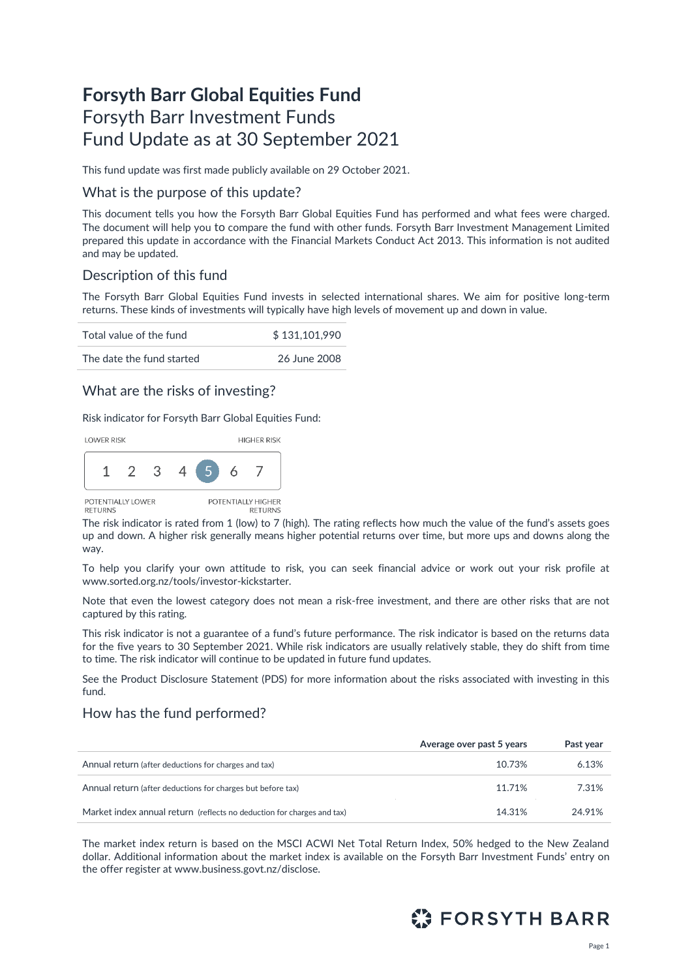# **Forsyth Barr Global Equities Fund** Forsyth Barr Investment Funds Fund Update as at 30 September 2021

This fund update was first made publicly available on 29 October 2021.

### What is the purpose of this update?

This document tells you how the Forsyth Barr Global Equities Fund has performed and what fees were charged. The document will help you to compare the fund with other funds. Forsyth Barr Investment Management Limited prepared this update in accordance with the Financial Markets Conduct Act 2013. This information is not audited and may be updated.

# Description of this fund

The Forsyth Barr Global Equities Fund invests in selected international shares. We aim for positive long-term returns. These kinds of investments will typically have high levels of movement up and down in value.

| Total value of the fund   | \$131,101,990 |
|---------------------------|---------------|
| The date the fund started | 26 June 2008  |

# What are the risks of investing?

Risk indicator for Forsyth Barr Global Equities Fund:



The risk indicator is rated from 1 (low) to 7 (high). The rating reflects how much the value of the fund's assets goes up and down. A higher risk generally means higher potential returns over time, but more ups and downs along the way.

To help you clarify your own attitude to risk, you can seek financial advice or work out your risk profile at [www.sorted.org.nz/tools/investor-kickstarter.](http://www.sorted.org.nz/tools/investor-kickstarter)

Note that even the lowest category does not mean a risk-free investment, and there are other risks that are not captured by this rating.

This risk indicator is not a guarantee of a fund's future performance. The risk indicator is based on the returns data for the five years to 30 September 2021. While risk indicators are usually relatively stable, they do shift from time to time. The risk indicator will continue to be updated in future fund updates.

See the Product Disclosure Statement (PDS) for more information about the risks associated with investing in this fund.

### How has the fund performed?

|                                                                        | Average over past 5 years | Past year |
|------------------------------------------------------------------------|---------------------------|-----------|
| Annual return (after deductions for charges and tax)                   | 10.73%                    | 6.13%     |
| Annual return (after deductions for charges but before tax)            | 11.71%                    | 7.31%     |
| Market index annual return (reflects no deduction for charges and tax) | 14.31%                    | 24.91%    |

The market index return is based on the MSCI ACWI Net Total Return Index, 50% hedged to the New Zealand dollar. Additional information about the market index is available on the Forsyth Barr Investment Funds' entry on the offer register at [www.business.govt.nz/disclose](http://www.business.govt.nz/disclose)*.*

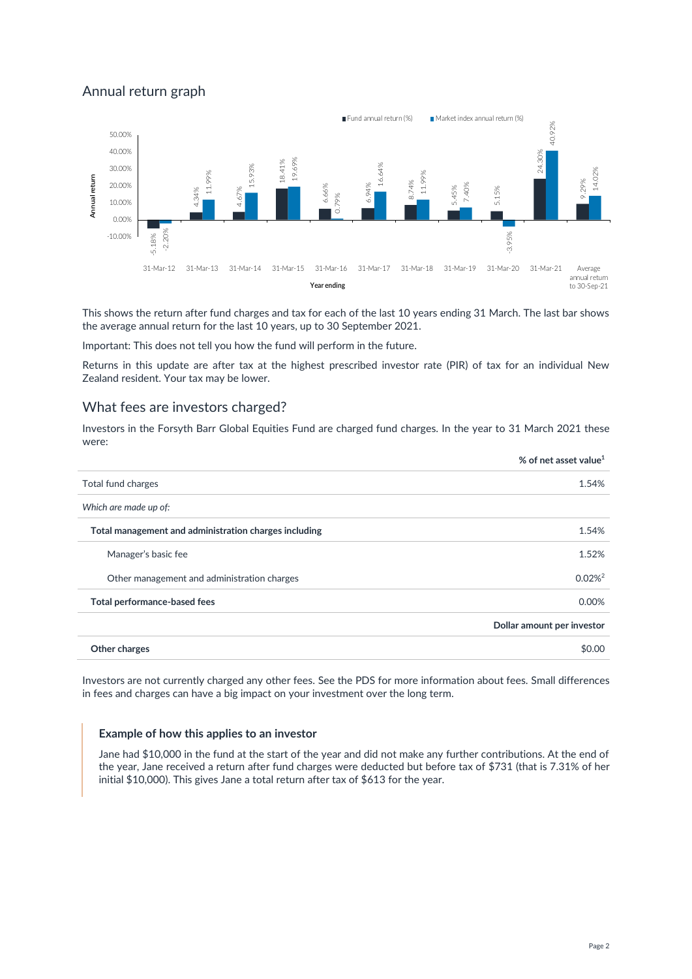# Annual return graph



This shows the return after fund charges and tax for each of the last 10 years ending 31 March. The last bar shows the average annual return for the last 10 years, up to 30 September 2021.

Important: This does not tell you how the fund will perform in the future.

Returns in this update are after tax at the highest prescribed investor rate (PIR) of tax for an individual New Zealand resident. Your tax may be lower.

### What fees are investors charged?

Investors in the Forsyth Barr Global Equities Fund are charged fund charges. In the year to 31 March 2021 these were:

|                                                       | % of net asset value <sup>1</sup> |
|-------------------------------------------------------|-----------------------------------|
| Total fund charges                                    | 1.54%                             |
| Which are made up of:                                 |                                   |
| Total management and administration charges including | 1.54%                             |
| Manager's basic fee                                   | 1.52%                             |
| Other management and administration charges           | $0.02\%$ <sup>2</sup>             |
| Total performance-based fees                          | 0.00%                             |
|                                                       | Dollar amount per investor        |
| Other charges                                         | \$0.00                            |
|                                                       |                                   |

Investors are not currently charged any other fees. See the PDS for more information about fees. Small differences in fees and charges can have a big impact on your investment over the long term.

#### **Example of how this applies to an investor**

Jane had \$10,000 in the fund at the start of the year and did not make any further contributions. At the end of the year, Jane received a return after fund charges were deducted but before tax of \$731 (that is 7.31% of her initial \$10,000). This gives Jane a total return after tax of \$613 for the year.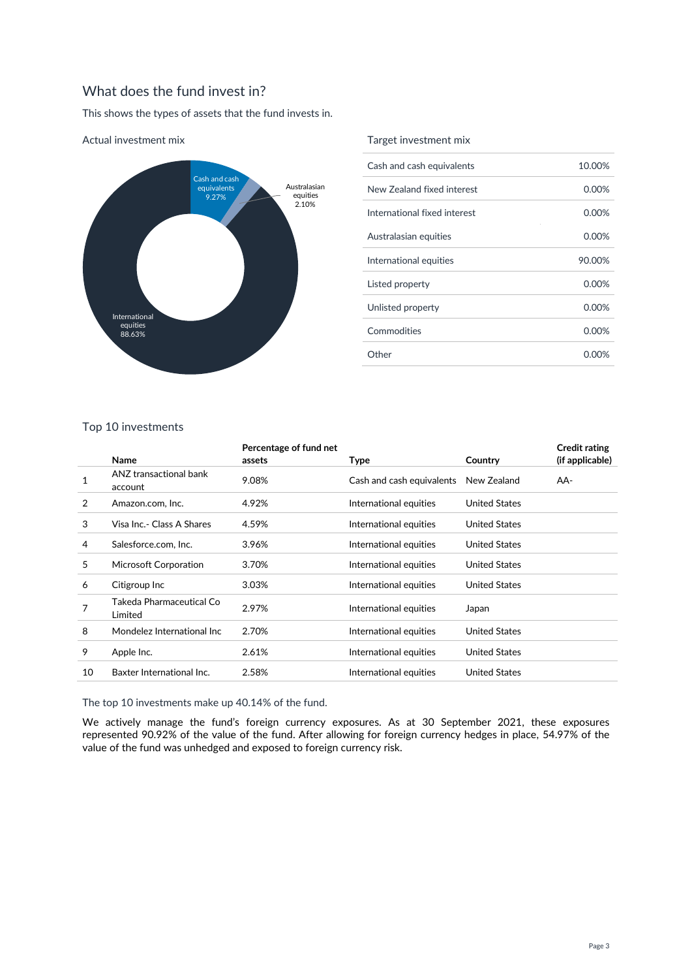# What does the fund invest in?

This shows the types of assets that the fund invests in.



#### Actual investment mix

#### Target investment mix

| Cash and cash equivalents    | 10.00%   |
|------------------------------|----------|
| New Zealand fixed interest   | 0.00%    |
| International fixed interest | 0.00%    |
| Australasian equities        | $0.00\%$ |
| International equities       | 90.00%   |
| Listed property              | $0.00\%$ |
| Unlisted property            | $0.00\%$ |
| Commodities                  | 0.00%    |
| Other                        | 0.00%    |
|                              |          |

### Top 10 investments

|    | Name                                | Percentage of fund net<br>assets | <b>Type</b>               | Country              | <b>Credit rating</b><br>(if applicable) |
|----|-------------------------------------|----------------------------------|---------------------------|----------------------|-----------------------------------------|
| 1  | ANZ transactional bank<br>account   | 9.08%                            | Cash and cash equivalents | New Zealand          | AA-                                     |
| 2  | Amazon.com, Inc.                    | 4.92%                            | International equities    | <b>United States</b> |                                         |
| 3  | Visa Inc.- Class A Shares           | 4.59%                            | International equities    | <b>United States</b> |                                         |
| 4  | Salesforce.com, Inc.                | 3.96%                            | International equities    | <b>United States</b> |                                         |
| 5  | Microsoft Corporation               | 3.70%                            | International equities    | <b>United States</b> |                                         |
| 6  | Citigroup Inc                       | 3.03%                            | International equities    | <b>United States</b> |                                         |
| 7  | Takeda Pharmaceutical Co<br>Limited | 2.97%                            | International equities    | Japan                |                                         |
| 8  | Mondelez International Inc          | 2.70%                            | International equities    | <b>United States</b> |                                         |
| 9  | Apple Inc.                          | 2.61%                            | International equities    | <b>United States</b> |                                         |
| 10 | Baxter International Inc.           | 2.58%                            | International equities    | <b>United States</b> |                                         |

The top 10 investments make up 40.14% of the fund.

We actively manage the fund's foreign currency exposures. As at 30 September 2021, these exposures represented 90.92% of the value of the fund. After allowing for foreign currency hedges in place, 54.97% of the value of the fund was unhedged and exposed to foreign currency risk.